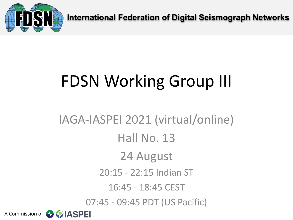

**International Federation of Digital Seismograph Networks**

# FDSN Working Group III

A Commission of **CALASPEI** IAGA-IASPEI 2021 (virtual/online) Hall No. 13 24 August 20:15 - 22:15 Indian ST 16:45 - 18:45 CEST 07:45 - 09:45 PDT (US Pacific)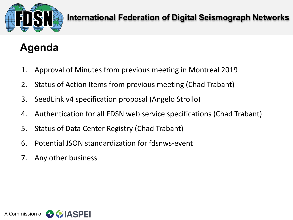

#### **International Federation of Digital Seismograph Networks**

# **Agenda**

- 1. Approval of Minutes from previous meeting in Montreal 2019
- 2. Status of Action Items from previous meeting (Chad Trabant)
- 3. SeedLink v4 specification proposal (Angelo Strollo)
- 4. Authentication for all FDSN web service specifications (Chad Trabant)
- 5. Status of Data Center Registry (Chad Trabant)
- 6. Potential JSON standardization for fdsnws-event
- 7. Any other business

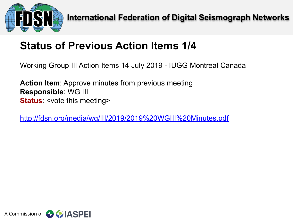

# **Status of Previous Action Items 1/4**

Working Group III Action Items 14 July 2019 - IUGG Montreal Canada

**Action Item**: Approve minutes from previous meeting **Responsible**: WG III **Status**: <vote this meeting>

<http://fdsn.org/media/wg/III/2019/2019%20WGIII%20Minutes.pdf>

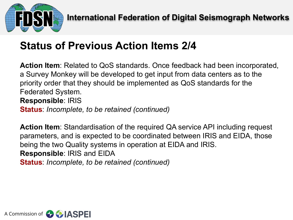

# **Status of Previous Action Items 2/4**

**Action Item**: Related to QoS standards. Once feedback had been incorporated, a Survey Monkey will be developed to get input from data centers as to the priority order that they should be implemented as QoS standards for the Federated System. **Responsible**: IRIS **Status**: *Incomplete, to be retained (continued)*

**Action Item**: Standardisation of the required QA service API including request parameters, and is expected to be coordinated between IRIS and EIDA, those being the two Quality systems in operation at EIDA and IRIS. **Responsible**: IRIS and EIDA **Status**: *Incomplete, to be retained (continued)*

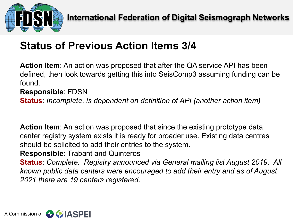

# **Status of Previous Action Items 3/4**

**Action Item**: An action was proposed that after the QA service API has been defined, then look towards getting this into SeisComp3 assuming funding can be found.

#### **Responsible**: FDSN

**Status**: *Incomplete, is dependent on definition of API (another action item)*

**Action Item**: An action was proposed that since the existing prototype data center registry system exists it is ready for broader use. Existing data centres should be solicited to add their entries to the system.

**Responsible**: Trabant and Quinteros

**Status**: *Complete. Registry announced via General mailing list August 2019. All known public data centers were encouraged to add their entry and as of August 2021 there are 19 centers registered.*

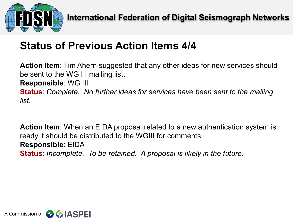

## **Status of Previous Action Items 4/4**

**Action Item**: Tim Ahern suggested that any other ideas for new services should be sent to the WG III mailing list.

**Responsible**: WG III

**Status**: *Complete. No further ideas for services have been sent to the mailing list.*

**Action Item**: When an EIDA proposal related to a new authentication system is ready it should be distributed to the WGIII for comments. **Responsible**: EIDA **Status**: *Incomplete. To be retained. A proposal is likely in the future.* 

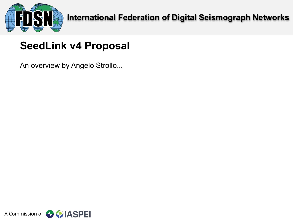

# **SeedLink v4 Proposal**

An overview by Angelo Strollo...

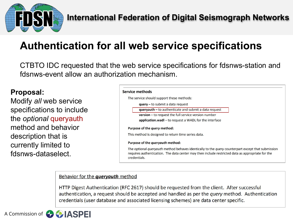

# **Authentication for all web service specifications**

CTBTO IDC requested that the web service specifications for fdsnws-station and fdsnws-event allow an authorization mechanism.

#### **Proposal:**

Modify *all* web service specifications to include the *optional* queryauth method and behavior description that is currently limited to fdsnws-dataselect.

| Service methods                                                                                                                                                                                                                     |
|-------------------------------------------------------------------------------------------------------------------------------------------------------------------------------------------------------------------------------------|
| The service should support these methods:                                                                                                                                                                                           |
| $query - to submit a data request$                                                                                                                                                                                                  |
| $queryauth - to authenticate and submit a data request$                                                                                                                                                                             |
| <b>version</b> $-$ to request the full service version number                                                                                                                                                                       |
| application.wadl – to request a WADL for the interface                                                                                                                                                                              |
| Purpose of the <i>query</i> method:                                                                                                                                                                                                 |
| This method is designed to return time series data.                                                                                                                                                                                 |
| Purpose of the <i>queryauth</i> method:                                                                                                                                                                                             |
| The optional <i>queryauth</i> method behaves identically to the <i>query</i> counterpart except that submission<br>requires authentication. The data center may then include restricted data as appropriate for the<br>credentials. |

#### Behavior for the *queryauth* method

HTTP Digest Authentication (RFC 2617) should be requested from the client. After successful authentication, a request should be accepted and handled as per the *query* method. Authentication credentials (user database and associated licensing schemes) are data center specific.

A Commission of

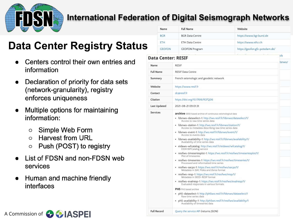

#### **International Federation of Digital Seismograph Networks**

**Full Record** 

Query the service API (returns JSON)

# **Data Center Registry Status**

- Centers control their own entries and information
- Declaration of priority for data sets (network-granularity), registry enforces uniqueness
- Multiple options for maintaining  $\bullet$ information:
	- Simple Web Form O
	- **Harvest from URL**  $\Omega$
	- Push (POST) to registry  $\circ$
- List of FDSN and non-FDSN web services
- Human and machine friendly  $\bullet$ interfaces

| Name                | <b>Full Name</b>                                                                                                                                                                                                                                                                                                                                                                                                                                                                                                                                                                                                                                                                                                                                                                                                                                                                                                                                                                                                                                                                                                                                                                                                                                                                       | Website                        |  |
|---------------------|----------------------------------------------------------------------------------------------------------------------------------------------------------------------------------------------------------------------------------------------------------------------------------------------------------------------------------------------------------------------------------------------------------------------------------------------------------------------------------------------------------------------------------------------------------------------------------------------------------------------------------------------------------------------------------------------------------------------------------------------------------------------------------------------------------------------------------------------------------------------------------------------------------------------------------------------------------------------------------------------------------------------------------------------------------------------------------------------------------------------------------------------------------------------------------------------------------------------------------------------------------------------------------------|--------------------------------|--|
| <b>BGR</b>          | <b>BGR Data Centre</b>                                                                                                                                                                                                                                                                                                                                                                                                                                                                                                                                                                                                                                                                                                                                                                                                                                                                                                                                                                                                                                                                                                                                                                                                                                                                 | https://www.bgr.bund.de        |  |
| <b>ETH</b>          | <b>ETH Data Centre</b>                                                                                                                                                                                                                                                                                                                                                                                                                                                                                                                                                                                                                                                                                                                                                                                                                                                                                                                                                                                                                                                                                                                                                                                                                                                                 | https://www.ethz.ch            |  |
| <b>GEOFON</b>       | <b>GEOFON Program</b>                                                                                                                                                                                                                                                                                                                                                                                                                                                                                                                                                                                                                                                                                                                                                                                                                                                                                                                                                                                                                                                                                                                                                                                                                                                                  | https://geofon.gfz-potsdam.de/ |  |
| Data Center: RESIF  |                                                                                                                                                                                                                                                                                                                                                                                                                                                                                                                                                                                                                                                                                                                                                                                                                                                                                                                                                                                                                                                                                                                                                                                                                                                                                        | s <sub>o</sub>                 |  |
| Name                | <b>RESIF</b>                                                                                                                                                                                                                                                                                                                                                                                                                                                                                                                                                                                                                                                                                                                                                                                                                                                                                                                                                                                                                                                                                                                                                                                                                                                                           |                                |  |
| <b>Full Name</b>    | <b>RESIF Data Centre</b>                                                                                                                                                                                                                                                                                                                                                                                                                                                                                                                                                                                                                                                                                                                                                                                                                                                                                                                                                                                                                                                                                                                                                                                                                                                               |                                |  |
| Summary             | French seismologic and geodetic network                                                                                                                                                                                                                                                                                                                                                                                                                                                                                                                                                                                                                                                                                                                                                                                                                                                                                                                                                                                                                                                                                                                                                                                                                                                |                                |  |
| Website             | https://www.resif.fr                                                                                                                                                                                                                                                                                                                                                                                                                                                                                                                                                                                                                                                                                                                                                                                                                                                                                                                                                                                                                                                                                                                                                                                                                                                                   |                                |  |
| Contact             | dc@resif.fr                                                                                                                                                                                                                                                                                                                                                                                                                                                                                                                                                                                                                                                                                                                                                                                                                                                                                                                                                                                                                                                                                                                                                                                                                                                                            |                                |  |
| Citation            | https://doi.org/10.17616/R37Q06                                                                                                                                                                                                                                                                                                                                                                                                                                                                                                                                                                                                                                                                                                                                                                                                                                                                                                                                                                                                                                                                                                                                                                                                                                                        |                                |  |
| <b>Last Updated</b> | 2021-08-21 09:01:31                                                                                                                                                                                                                                                                                                                                                                                                                                                                                                                                                                                                                                                                                                                                                                                                                                                                                                                                                                                                                                                                                                                                                                                                                                                                    |                                |  |
| <b>Services</b>     | archive SEED based archive of continuous seismological data<br>· fdsnws-dataselect-1: http://ws.resif.fr/fdsnws/dataselect/1/<br>Access to raw time series data<br>· fdsnws-station-1: http://ws.resif.fr/fdsnws/station/1/<br>Access to metadata describing raw time series data<br>· fdsnws-event-1: http://ws.resif.fr/fdsnws/event/1/<br>Access to events data<br>· fdsnws-availability-1: http://ws.resif.fr/fdsnws/availability/1/<br>Availability of time series data<br>· eidaws-wfcatalog: http://ws.resif.fr/eidaws/wfcatalog/1/<br>EIDA WFCatalog service<br>· resifws-timeseriesplot-1: https://ws.resif.fr/resifws/timeseriesplot/1/<br>Plot of timeseries<br>· resifws-timeseries-1: https://ws.resif.fr/resifws/timeseries/1/<br>Processed and reformatted time series<br>· resifws-sacpz-1: https://ws.resif.fr/resifws/sacpz/1/<br>Metadata in SAC Poles and Zeros format<br>· resifws-resp-1: https://ws.resif.fr/resifws/resp/1/<br>Metadata in SEED-RESP format<br>· resifws-evalresp-1: https://ws.resif.fr/resifws/evalresp/1/<br>Evaluated responses in various formats<br>PH5 PH5 based archive<br>· ph5-dataselect-1: http://ph5ws.resif.fr/fdsnws/dataselect/1<br>Raw time series data<br>· ph5-availability-1: http://ph5ws.resif.fr/resifws/availability/1 |                                |  |

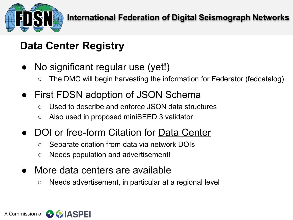

# **Data Center Registry**

- No significant regular use (yet!)
	- The DMC will begin harvesting the information for Federator (fedcatalog)
- First FDSN adoption of JSON Schema
	- Used to describe and enforce JSON data structures
	- Also used in proposed miniSEED 3 validator
- DOI or free-form Citation for Data Center
	- Separate citation from data via network DOIs
	- Needs population and advertisement!
- More data centers are available
	- Needs advertisement, in particular at a regional level

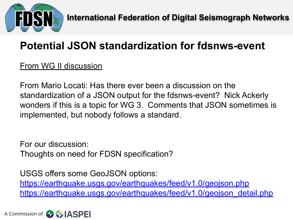

# **Potential JSON standardization for fdsnws-event**

#### From WG II discussion

From Mario Locati: Has there ever been a discussion on the standardization of a JSON output for the fdsnws-event? Nick Ackerly wonders if this is a topic for WG 3. Comments that JSON sometimes is implemented, but nobody follows a standard.

For our discussion: Thoughts on need for FDSN specification?

USGS offers some GeoJSON options: <https://earthquake.usgs.gov/earthquakes/feed/v1.0/geojson.php> [https://earthquake.usgs.gov/earthquakes/feed/v1.0/geojson\\_detail.php](https://earthquake.usgs.gov/earthquakes/feed/v1.0/geojson_detail.php)